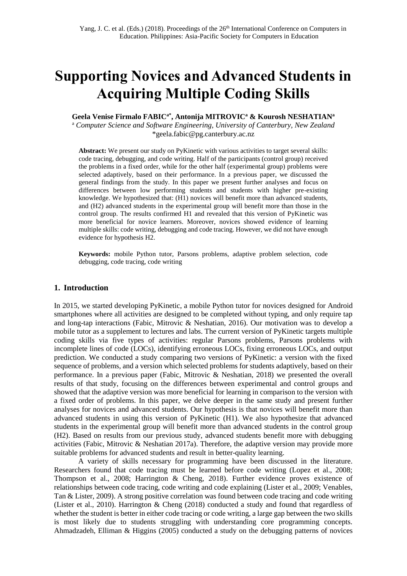# **Supporting Novices and Advanced Students in Acquiring Multiple Coding Skills**

**Geela Venise Firmalo FABICa\*, Antonija MITROVIC<sup>a</sup> & Kourosh NESHATIAN<sup>a</sup>**

<sup>a</sup> *Computer Science and Software Engineering, University of Canterbury, New Zealand* \*geela.fabic@pg.canterbury.ac.nz

**Abstract:** We present our study on PyKinetic with various activities to target several skills: code tracing, debugging, and code writing. Half of the participants (control group) received the problems in a fixed order, while for the other half (experimental group) problems were selected adaptively, based on their performance. In a previous paper, we discussed the general findings from the study. In this paper we present further analyses and focus on differences between low performing students and students with higher pre-existing knowledge. We hypothesized that: (H1) novices will benefit more than advanced students, and (H2) advanced students in the experimental group will benefit more than those in the control group. The results confirmed H1 and revealed that this version of PyKinetic was more beneficial for novice learners. Moreover, novices showed evidence of learning multiple skills: code writing, debugging and code tracing. However, we did not have enough evidence for hypothesis H2.

**Keywords:** mobile Python tutor, Parsons problems, adaptive problem selection, code debugging, code tracing, code writing

## **1. Introduction**

In 2015, we started developing PyKinetic, a mobile Python tutor for novices designed for Android smartphones where all activities are designed to be completed without typing, and only require tap and long-tap interactions (Fabic, Mitrovic & Neshatian, 2016). Our motivation was to develop a mobile tutor as a supplement to lectures and labs. The current version of PyKinetic targets multiple coding skills via five types of activities: regular Parsons problems, Parsons problems with incomplete lines of code (LOCs), identifying erroneous LOCs, fixing erroneous LOCs, and output prediction. We conducted a study comparing two versions of PyKinetic: a version with the fixed sequence of problems, and a version which selected problems for students adaptively, based on their performance. In a previous paper (Fabic, Mitrovic & Neshatian, 2018) we presented the overall results of that study, focusing on the differences between experimental and control groups and showed that the adaptive version was more beneficial for learning in comparison to the version with a fixed order of problems. In this paper, we delve deeper in the same study and present further analyses for novices and advanced students. Our hypothesis is that novices will benefit more than advanced students in using this version of PyKinetic (H1). We also hypothesize that advanced students in the experimental group will benefit more than advanced students in the control group (H2). Based on results from our previous study, advanced students benefit more with debugging activities (Fabic, Mitrovic & Neshatian 2017a). Therefore, the adaptive version may provide more suitable problems for advanced students and result in better-quality learning.

A variety of skills necessary for programming have been discussed in the literature. Researchers found that code tracing must be learned before code writing (Lopez et al., 2008; Thompson et al., 2008; Harrington & Cheng, 2018). Further evidence proves existence of relationships between code tracing, code writing and code explaining (Lister et al., 2009; Venables, Tan & Lister, 2009). A strong positive correlation was found between code tracing and code writing (Lister et al., 2010). Harrington & Cheng (2018) conducted a study and found that regardless of whether the student is better in either code tracing or code writing, a large gap between the two skills is most likely due to students struggling with understanding core programming concepts. Ahmadzadeh, Elliman & Higgins (2005) conducted a study on the debugging patterns of novices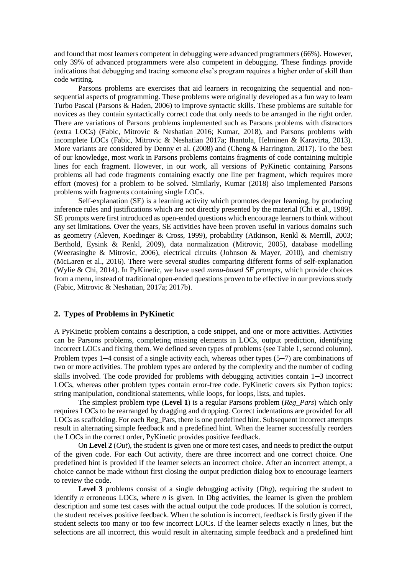and found that most learners competent in debugging were advanced programmers (66%). However, only 39% of advanced programmers were also competent in debugging. These findings provide indications that debugging and tracing someone else's program requires a higher order of skill than code writing.

Parsons problems are exercises that aid learners in recognizing the sequential and nonsequential aspects of programming. These problems were originally developed as a fun way to learn Turbo Pascal (Parsons & Haden, 2006) to improve syntactic skills. These problems are suitable for novices as they contain syntactically correct code that only needs to be arranged in the right order. There are variations of Parsons problems implemented such as Parsons problems with distractors (extra LOCs) (Fabic, Mitrovic & Neshatian 2016; Kumar, 2018), and Parsons problems with incomplete LOCs (Fabic, Mitrovic & Neshatian 2017a; Ihantola, Helminen & Karavirta, 2013). More variants are considered by Denny et al. (2008) and (Cheng & Harrington, 2017). To the best of our knowledge, most work in Parsons problems contains fragments of code containing multiple lines for each fragment. However, in our work, all versions of PyKinetic containing Parsons problems all had code fragments containing exactly one line per fragment, which requires more effort (moves) for a problem to be solved. Similarly, Kumar (2018) also implemented Parsons problems with fragments containing single LOCs.

Self-explanation (SE) is a learning activity which promotes deeper learning, by producing inference rules and justifications which are not directly presented by the material (Chi et al., 1989). SE prompts were first introduced as open-ended questions which encourage learners to think without any set limitations. Over the years, SE activities have been proven useful in various domains such as geometry (Aleven, Koedinger & Cross, 1999), probability (Atkinson, Renkl & Merrill, 2003; Berthold, Eysink & Renkl, 2009), data normalization (Mitrovic, 2005), database modelling (Weerasinghe & Mitrovic, 2006), electrical circuits (Johnson & Mayer, 2010), and chemistry (McLaren et al., 2016). There were several studies comparing different forms of self-explanation (Wylie & Chi, 2014). In PyKinetic, we have used *menu-based SE prompts*, which provide choices from a menu, instead of traditional open-ended questions proven to be effective in our previous study (Fabic, Mitrovic & Neshatian, 2017a; 2017b).

# **2. Types of Problems in PyKinetic**

A PyKinetic problem contains a description, a code snippet, and one or more activities. Activities can be Parsons problems, completing missing elements in LOCs, output prediction, identifying incorrect LOCs and fixing them. We defined seven types of problems (see Table 1, second column). Problem types 1–4 consist of a single activity each, whereas other types (5–7) are combinations of two or more activities. The problem types are ordered by the complexity and the number of coding skills involved. The code provided for problems with debugging activities contain 1–3 incorrect LOCs, whereas other problem types contain error-free code. PyKinetic covers six Python topics: string manipulation, conditional statements, while loops, for loops, lists, and tuples.

The simplest problem type (**Level 1**) is a regular Parsons problem (*Reg\_Pars*) which only requires LOCs to be rearranged by dragging and dropping. Correct indentations are provided for all LOCs as scaffolding. For each Reg\_Pars, there is one predefined hint. Subsequent incorrect attempts result in alternating simple feedback and a predefined hint. When the learner successfully reorders the LOCs in the correct order, PyKinetic provides positive feedback.

On **Level 2** (*Out*), the student is given one or more test cases, and needs to predict the output of the given code. For each Out activity, there are three incorrect and one correct choice. One predefined hint is provided if the learner selects an incorrect choice. After an incorrect attempt, a choice cannot be made without first closing the output prediction dialog box to encourage learners to review the code.

**Level 3** problems consist of a single debugging activity (*Dbg*), requiring the student to identify *n* erroneous LOCs, where *n* is given. In Dbg activities, the learner is given the problem description and some test cases with the actual output the code produces. If the solution is correct, the student receives positive feedback. When the solution is incorrect, feedback is firstly given if the student selects too many or too few incorrect LOCs. If the learner selects exactly *n* lines, but the selections are all incorrect, this would result in alternating simple feedback and a predefined hint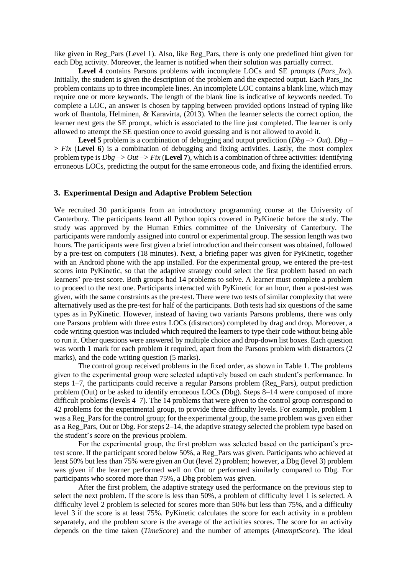like given in Reg\_Pars (Level 1). Also, like Reg\_Pars, there is only one predefined hint given for each Dbg activity. Moreover, the learner is notified when their solution was partially correct.

**Level 4** contains Parsons problems with incomplete LOCs and SE prompts (*Pars\_Inc*). Initially, the student is given the description of the problem and the expected output. Each Pars Inc problem contains up to three incomplete lines. An incomplete LOC contains a blank line, which may require one or more keywords. The length of the blank line is indicative of keywords needed. To complete a LOC, an answer is chosen by tapping between provided options instead of typing like work of Ihantola, Helminen, & Karavirta, (2013). When the learner selects the correct option, the learner next gets the SE prompt, which is associated to the line just completed. The learner is only allowed to attempt the SE question once to avoid guessing and is not allowed to avoid it.

**Level 5** problem is a combination of debugging and output prediction (*Dbg* –*> Out*). *Dbg* – **>** *Fix* (**Level 6**) is a combination of debugging and fixing activities. Lastly, the most complex problem type is *Dbg –> Out –> Fix* (**Level 7**), which is a combination of three activities: identifying erroneous LOCs, predicting the output for the same erroneous code, and fixing the identified errors.

# **3. Experimental Design and Adaptive Problem Selection**

We recruited 30 participants from an introductory programming course at the University of Canterbury. The participants learnt all Python topics covered in PyKinetic before the study. The study was approved by the Human Ethics committee of the University of Canterbury. The participants were randomly assigned into control or experimental group. The session length was two hours. The participants were first given a brief introduction and their consent was obtained, followed by a pre-test on computers (18 minutes). Next, a briefing paper was given for PyKinetic, together with an Android phone with the app installed. For the experimental group, we entered the pre-test scores into PyKinetic, so that the adaptive strategy could select the first problem based on each learners' pre-test score. Both groups had 14 problems to solve. A learner must complete a problem to proceed to the next one. Participants interacted with PyKinetic for an hour, then a post-test was given, with the same constraints as the pre-test. There were two tests of similar complexity that were alternatively used as the pre-test for half of the participants. Both tests had six questions of the same types as in PyKinetic. However, instead of having two variants Parsons problems, there was only one Parsons problem with three extra LOCs (distractors) completed by drag and drop. Moreover, a code writing question was included which required the learners to type their code without being able to run it. Other questions were answered by multiple choice and drop-down list boxes. Each question was worth 1 mark for each problem it required, apart from the Parsons problem with distractors (2 marks), and the code writing question (5 marks).

The control group received problems in the fixed order, as shown in Table 1. The problems given to the experimental group were selected adaptively based on each student's performance. In steps 1–7, the participants could receive a regular Parsons problem (Reg\_Pars), output prediction problem (Out) or be asked to identify erroneous LOCs (Dbg). Steps 8–14 were composed of more difficult problems (levels 4–7). The 14 problems that were given to the control group correspond to 42 problems for the experimental group, to provide three difficulty levels. For example, problem 1 was a Reg. Pars for the control group; for the experimental group, the same problem was given either as a Reg\_Pars, Out or Dbg. For steps 2–14, the adaptive strategy selected the problem type based on the student's score on the previous problem.

For the experimental group, the first problem was selected based on the participant's pretest score. If the participant scored below 50%, a Reg\_Pars was given. Participants who achieved at least 50% but less than 75% were given an Out (level 2) problem; however, a Dbg (level 3) problem was given if the learner performed well on Out or performed similarly compared to Dbg. For participants who scored more than 75%, a Dbg problem was given.

After the first problem, the adaptive strategy used the performance on the previous step to select the next problem. If the score is less than 50%, a problem of difficulty level 1 is selected. A difficulty level 2 problem is selected for scores more than 50% but less than 75%, and a difficulty level 3 if the score is at least 75%. PyKinetic calculates the score for each activity in a problem separately, and the problem score is the average of the activities scores. The score for an activity depends on the time taken (*TimeScore*) and the number of attempts (*AttemptScore*). The ideal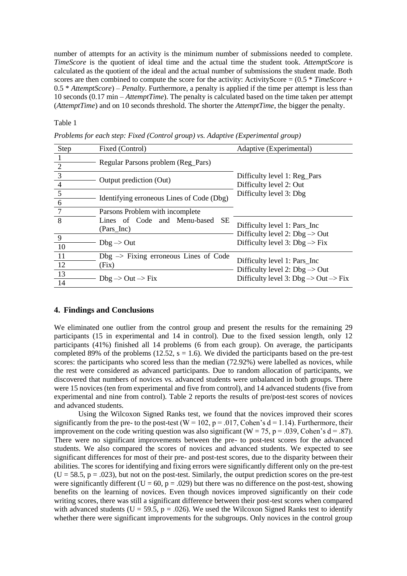number of attempts for an activity is the minimum number of submissions needed to complete. *TimeScore* is the quotient of ideal time and the actual time the student took. *AttemptScore* is calculated as the quotient of the ideal and the actual number of submissions the student made. Both scores are then combined to compute the score for the activity: ActivityScore =  $(0.5 * TimeScore +$ 0.5 \* *AttemptScore*) – *Penalty*. Furthermore, a penalty is applied if the time per attempt is less than 10 seconds (0.17 min – *AttemptTime*). The penalty is calculated based on the time taken per attempt (*AttemptTime*) and on 10 seconds threshold. The shorter the *AttemptTime*, the bigger the penalty.

#### Table 1

| Step                 | Fixed (Control)                                           | Adaptive (Experimental)                                                                |
|----------------------|-----------------------------------------------------------|----------------------------------------------------------------------------------------|
| -1<br>$\overline{2}$ | Regular Parsons problem (Reg_Pars)                        |                                                                                        |
| 3<br>$\overline{4}$  | Output prediction (Out)                                   | Difficulty level 1: Reg_Pars<br>Difficulty level 2: Out                                |
| $5\overline{)}$<br>6 | Identifying erroneous Lines of Code (Dbg)                 | Difficulty level 3: Dbg                                                                |
| $\overline{7}$       | Parsons Problem with incomplete                           |                                                                                        |
| 8                    | Lines of Code and Menu-based SE<br>(Pars_Inc)             | Difficulty level 1: Pars_Inc                                                           |
| 9<br>10              | $Dbg \rightarrow Out$                                     | Difficulty level 2: $Dbg \rightarrow Out$<br>Difficulty level 3: $Dbg \rightarrow Fix$ |
| -11<br>12            | $Dbg \rightarrow Fixing$ erroneous Lines of Code<br>(Fix) | Difficulty level 1: Pars_Inc<br>Difficulty level 2: $Dbg \rightarrow Out$              |
| 13<br>14             | $Dbg \rightarrow Out \rightarrow Fix$                     | Difficulty level 3: $Dbg \rightarrow Out \rightarrow Fix$                              |

*Problems for each step: Fixed (Control group) vs. Adaptive (Experimental group)*

#### **4. Findings and Conclusions**

We eliminated one outlier from the control group and present the results for the remaining 29 participants (15 in experimental and 14 in control). Due to the fixed session length, only 12 participants (41%) finished all 14 problems (6 from each group). On average, the participants completed 89% of the problems (12.52,  $s = 1.6$ ). We divided the participants based on the pre-test scores: the participants who scored less than the median (72.92%) were labelled as novices, while the rest were considered as advanced participants. Due to random allocation of participants, we discovered that numbers of novices vs. advanced students were unbalanced in both groups. There were 15 novices (ten from experimental and five from control), and 14 advanced students (five from experimental and nine from control). Table 2 reports the results of pre/post-test scores of novices and advanced students.

Using the Wilcoxon Signed Ranks test, we found that the novices improved their scores significantly from the pre- to the post-test ( $W = 102$ ,  $p = .017$ , Cohen's  $d = 1.14$ ). Furthermore, their improvement on the code writing question was also significant ( $W = 75$ ,  $p = .039$ , Cohen's  $d = .87$ ). There were no significant improvements between the pre- to post-test scores for the advanced students. We also compared the scores of novices and advanced students. We expected to see significant differences for most of their pre- and post-test scores, due to the disparity between their abilities. The scores for identifying and fixing errors were significantly different only on the pre-test  $(U = 58.5, p = .023)$ , but not on the post-test. Similarly, the output prediction scores on the pre-test were significantly different (U = 60,  $p = .029$ ) but there was no difference on the post-test, showing benefits on the learning of novices. Even though novices improved significantly on their code writing scores, there was still a significant difference between their post-test scores when compared with advanced students ( $U = 59.5$ ,  $p = .026$ ). We used the Wilcoxon Signed Ranks test to identify whether there were significant improvements for the subgroups. Only novices in the control group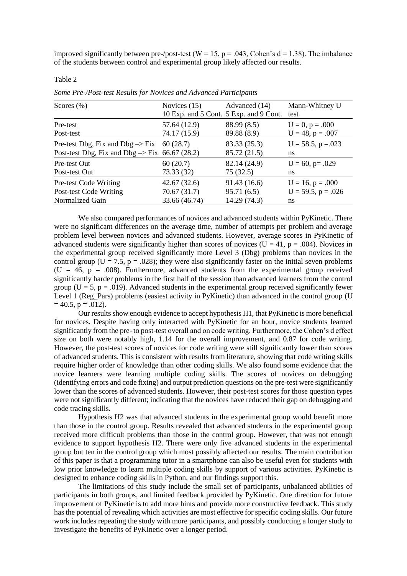improved significantly between pre-/post-test ( $W = 15$ ,  $p = .043$ , Cohen's d = 1.38). The imbalance of the students between control and experimental group likely affected our results.

Table 2

| Scores $(\% )$                                            | Novices $(15)$<br>10 Exp. and 5 Cont. 5 Exp. and 9 Cont. | Advanced (14) | Mann-Whitney U<br>test   |
|-----------------------------------------------------------|----------------------------------------------------------|---------------|--------------------------|
| Pre-test                                                  | 57.64 (12.9)                                             | 88.99 (8.5)   | $U = 0, p = .000$        |
| Post-test                                                 | 74.17 (15.9)                                             | 89.88 (8.9)   | $U = 48$ , $p = .007$    |
| Pre-test Dbg, Fix and Dbg $\Rightarrow$ Fix 60 (28.7)     |                                                          | 83.33 (25.3)  | $U = 58.5$ , $p = 0.023$ |
| Post-test Dbg, Fix and Dbg $\Rightarrow$ Fix 66.67 (28.2) |                                                          | 85.72 (21.5)  | ns                       |
| Pre-test Out                                              | 60(20.7)                                                 | 82.14 (24.9)  | $U = 60$ , p= .029       |
| Post-test Out                                             | 73.33(32)                                                | 75(32.5)      | ns                       |
| Pre-test Code Writing                                     | 42.67(32.6)                                              | 91.43(16.6)   | $U = 16$ , $p = .000$    |
| Post-test Code Writing                                    | 70.67 (31.7)                                             | 95.71(6.5)    | $U = 59.5$ , $p = .026$  |
| Normalized Gain                                           | 33.66 (46.74)                                            | 14.29 (74.3)  | ns                       |

*Some Pre-/Post-test Results for Novices and Advanced Participants*

We also compared performances of novices and advanced students within PyKinetic. There were no significant differences on the average time, number of attempts per problem and average problem level between novices and advanced students. However, average scores in PyKinetic of advanced students were significantly higher than scores of novices ( $U = 41$ ,  $p = .004$ ). Novices in the experimental group received significantly more Level 3 (Dbg) problems than novices in the control group ( $U = 7.5$ ,  $p = .028$ ); they were also significantly faster on the initial seven problems  $(U = 46, p = .008)$ . Furthermore, advanced students from the experimental group received significantly harder problems in the first half of the session than advanced learners from the control group ( $U = 5$ ,  $p = .019$ ). Advanced students in the experimental group received significantly fewer Level 1 (Reg\_Pars) problems (easiest activity in PyKinetic) than advanced in the control group (U  $= 40.5$ ,  $p = .012$ ).

Our results show enough evidence to accept hypothesis H1, that PyKinetic is more beneficial for novices. Despite having only interacted with PyKinetic for an hour, novice students learned significantly from the pre- to post-test overall and on code writing. Furthermore, the Cohen's d effect size on both were notably high, 1.14 for the overall improvement, and 0.87 for code writing. However, the post-test scores of novices for code writing were still significantly lower than scores of advanced students. This is consistent with results from literature, showing that code writing skills require higher order of knowledge than other coding skills. We also found some evidence that the novice learners were learning multiple coding skills. The scores of novices on debugging (identifying errors and code fixing) and output prediction questions on the pre-test were significantly lower than the scores of advanced students. However, their post-test scores for those question types were not significantly different; indicating that the novices have reduced their gap on debugging and code tracing skills.

Hypothesis H2 was that advanced students in the experimental group would benefit more than those in the control group. Results revealed that advanced students in the experimental group received more difficult problems than those in the control group. However, that was not enough evidence to support hypothesis H2. There were only five advanced students in the experimental group but ten in the control group which most possibly affected our results. The main contribution of this paper is that a programming tutor in a smartphone can also be useful even for students with low prior knowledge to learn multiple coding skills by support of various activities. PyKinetic is designed to enhance coding skills in Python, and our findings support this.

The limitations of this study include the small set of participants, unbalanced abilities of participants in both groups, and limited feedback provided by PyKinetic. One direction for future improvement of PyKinetic is to add more hints and provide more constructive feedback. This study has the potential of revealing which activities are most effective for specific coding skills. Our future work includes repeating the study with more participants, and possibly conducting a longer study to investigate the benefits of PyKinetic over a longer period.